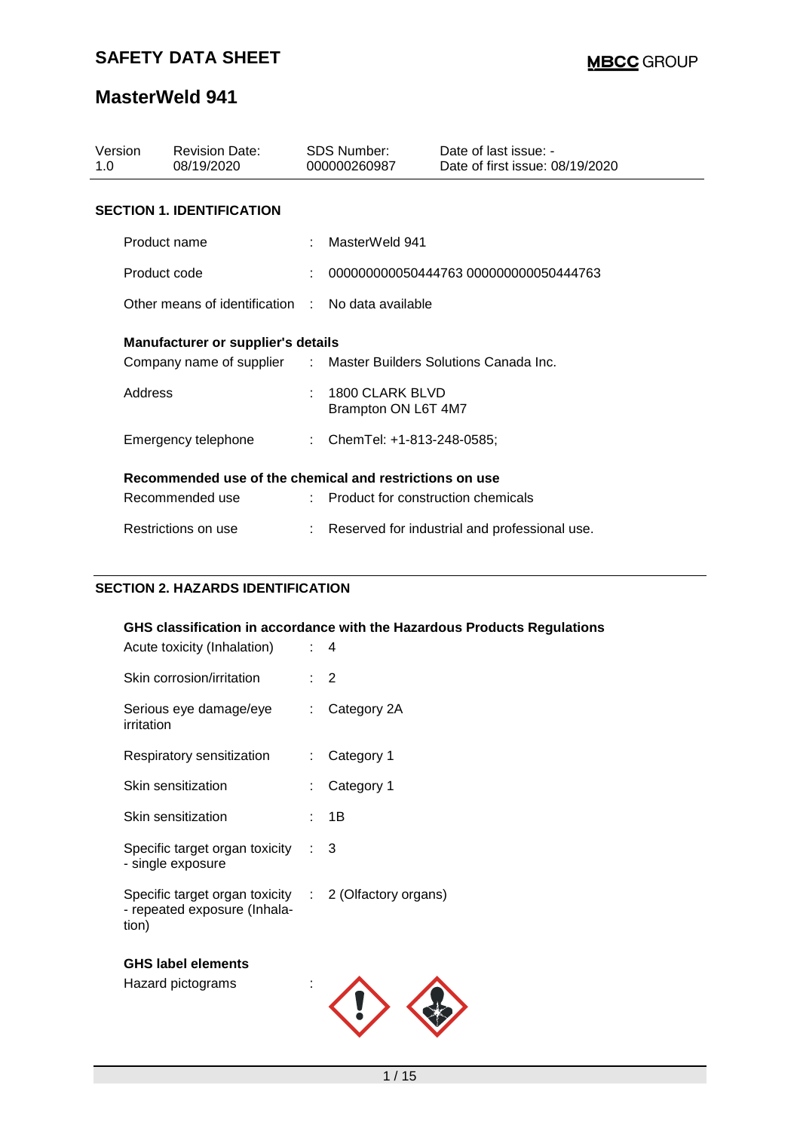## **MasterWeld 941**

| Version<br>1.0                                          | <b>Revision Date:</b><br>08/19/2020               |  | SDS Number:<br>000000260987                                      | Date of last issue: -<br>Date of first issue: 08/19/2020 |  |  |  |
|---------------------------------------------------------|---------------------------------------------------|--|------------------------------------------------------------------|----------------------------------------------------------|--|--|--|
| <b>SECTION 1. IDENTIFICATION</b>                        |                                                   |  |                                                                  |                                                          |  |  |  |
|                                                         | Product name                                      |  | MasterWeld 941                                                   |                                                          |  |  |  |
|                                                         | Product code                                      |  |                                                                  | 000000000050444763 000000000050444763                    |  |  |  |
|                                                         | Other means of identification : No data available |  |                                                                  |                                                          |  |  |  |
| <b>Manufacturer or supplier's details</b>               |                                                   |  |                                                                  |                                                          |  |  |  |
|                                                         |                                                   |  | Company name of supplier : Master Builders Solutions Canada Inc. |                                                          |  |  |  |
|                                                         | Address                                           |  | 1800 CLARK BLVD<br>Brampton ON L6T 4M7                           |                                                          |  |  |  |
|                                                         | Emergency telephone                               |  | : ChemTel: +1-813-248-0585;                                      |                                                          |  |  |  |
| Recommended use of the chemical and restrictions on use |                                                   |  |                                                                  |                                                          |  |  |  |
|                                                         | Recommended use                                   |  | : Product for construction chemicals                             |                                                          |  |  |  |
|                                                         | Restrictions on use                               |  |                                                                  | Reserved for industrial and professional use.            |  |  |  |

### **SECTION 2. HAZARDS IDENTIFICATION**

| Acute toxicity (Inhalation)                                                                    | GHS classification in accordance with the Hazardous Products Regulations<br>t. | 4              |
|------------------------------------------------------------------------------------------------|--------------------------------------------------------------------------------|----------------|
| Skin corrosion/irritation                                                                      |                                                                                | $\overline{2}$ |
| Serious eye damage/eye<br>irritation                                                           |                                                                                | Category 2A    |
| Respiratory sensitization                                                                      | ÷                                                                              | Category 1     |
| Skin sensitization                                                                             |                                                                                | Category 1     |
| Skin sensitization                                                                             |                                                                                | 1B             |
| Specific target organ toxicity<br>- single exposure                                            |                                                                                | 3              |
| Specific target organ toxicity : 2 (Olfactory organs)<br>- repeated exposure (Inhala-<br>tion) |                                                                                |                |
| <b>GHS label elements</b>                                                                      |                                                                                |                |
| Hazard pictograms                                                                              |                                                                                |                |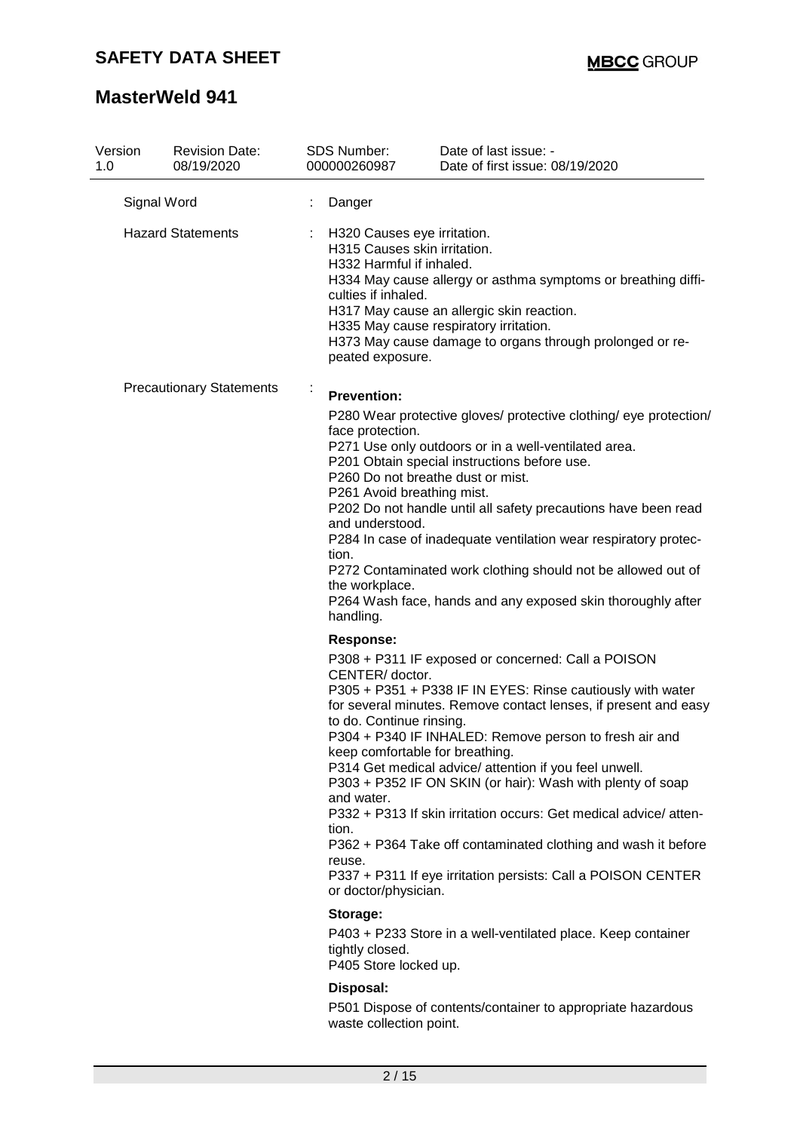| Version<br>1.0                  | <b>Revision Date:</b><br>08/19/2020                                                                                                                            |                                                                                                                                                      |                                                                                                                                                                                                                                                                                                                                                                                                                                                                                                                                                                                                                       | <b>SDS Number:</b><br>000000260987                                                                                                                                                                                                                                                                                                                                                                                                                                                                                                                                         | Date of last issue: -<br>Date of first issue: 08/19/2020     |
|---------------------------------|----------------------------------------------------------------------------------------------------------------------------------------------------------------|------------------------------------------------------------------------------------------------------------------------------------------------------|-----------------------------------------------------------------------------------------------------------------------------------------------------------------------------------------------------------------------------------------------------------------------------------------------------------------------------------------------------------------------------------------------------------------------------------------------------------------------------------------------------------------------------------------------------------------------------------------------------------------------|----------------------------------------------------------------------------------------------------------------------------------------------------------------------------------------------------------------------------------------------------------------------------------------------------------------------------------------------------------------------------------------------------------------------------------------------------------------------------------------------------------------------------------------------------------------------------|--------------------------------------------------------------|
| Signal Word                     |                                                                                                                                                                |                                                                                                                                                      | Danger                                                                                                                                                                                                                                                                                                                                                                                                                                                                                                                                                                                                                |                                                                                                                                                                                                                                                                                                                                                                                                                                                                                                                                                                            |                                                              |
|                                 | <b>Hazard Statements</b><br>H320 Causes eye irritation.<br>H315 Causes skin irritation.<br>H332 Harmful if inhaled.<br>culties if inhaled.<br>peated exposure. |                                                                                                                                                      |                                                                                                                                                                                                                                                                                                                                                                                                                                                                                                                                                                                                                       | H334 May cause allergy or asthma symptoms or breathing diffi-<br>H317 May cause an allergic skin reaction.<br>H335 May cause respiratory irritation.<br>H373 May cause damage to organs through prolonged or re-                                                                                                                                                                                                                                                                                                                                                           |                                                              |
| <b>Precautionary Statements</b> |                                                                                                                                                                |                                                                                                                                                      | <b>Prevention:</b><br>P280 Wear protective gloves/ protective clothing/ eye protection/<br>face protection.<br>P271 Use only outdoors or in a well-ventilated area.<br>P201 Obtain special instructions before use.<br>P260 Do not breathe dust or mist.<br>P261 Avoid breathing mist.<br>P202 Do not handle until all safety precautions have been read<br>and understood.<br>P284 In case of inadequate ventilation wear respiratory protec-<br>tion.<br>P272 Contaminated work clothing should not be allowed out of<br>the workplace.<br>P264 Wash face, hands and any exposed skin thoroughly after<br>handling. |                                                                                                                                                                                                                                                                                                                                                                                                                                                                                                                                                                            |                                                              |
|                                 |                                                                                                                                                                | Response:<br>CENTER/ doctor.<br>to do. Continue rinsing.<br>keep comfortable for breathing.<br>and water.<br>tion.<br>reuse.<br>or doctor/physician. |                                                                                                                                                                                                                                                                                                                                                                                                                                                                                                                                                                                                                       | P308 + P311 IF exposed or concerned: Call a POISON<br>P305 + P351 + P338 IF IN EYES: Rinse cautiously with water<br>for several minutes. Remove contact lenses, if present and easy<br>P304 + P340 IF INHALED: Remove person to fresh air and<br>P314 Get medical advice/ attention if you feel unwell.<br>P303 + P352 IF ON SKIN (or hair): Wash with plenty of soap<br>P332 + P313 If skin irritation occurs: Get medical advice/atten-<br>P362 + P364 Take off contaminated clothing and wash it before<br>P337 + P311 If eye irritation persists: Call a POISON CENTER |                                                              |
|                                 |                                                                                                                                                                |                                                                                                                                                      |                                                                                                                                                                                                                                                                                                                                                                                                                                                                                                                                                                                                                       | Storage:<br>tightly closed.<br>P405 Store locked up.                                                                                                                                                                                                                                                                                                                                                                                                                                                                                                                       | P403 + P233 Store in a well-ventilated place. Keep container |
|                                 |                                                                                                                                                                |                                                                                                                                                      |                                                                                                                                                                                                                                                                                                                                                                                                                                                                                                                                                                                                                       | Disposal:<br>waste collection point.                                                                                                                                                                                                                                                                                                                                                                                                                                                                                                                                       | P501 Dispose of contents/container to appropriate hazardous  |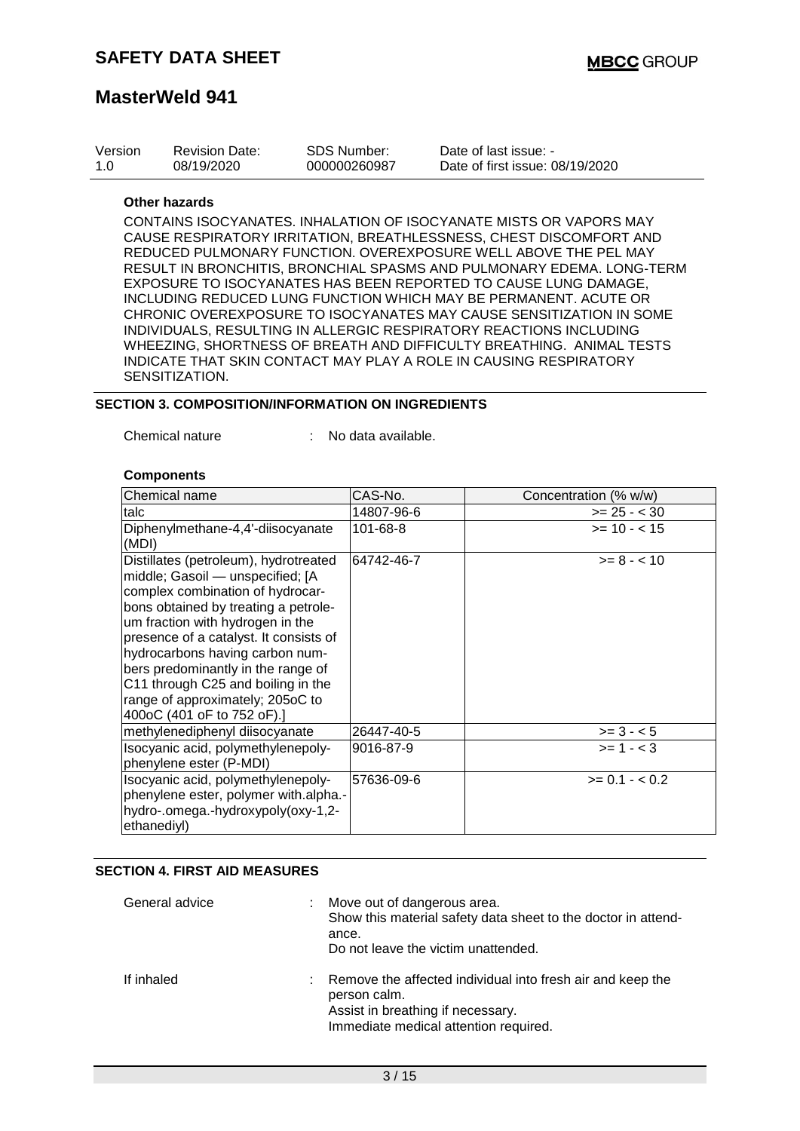| Version | <b>Revision Date:</b> | SDS Number:  | Date of last issue: -           |
|---------|-----------------------|--------------|---------------------------------|
| 1.0     | 08/19/2020            | 000000260987 | Date of first issue: 08/19/2020 |

#### **Other hazards**

CONTAINS ISOCYANATES. INHALATION OF ISOCYANATE MISTS OR VAPORS MAY CAUSE RESPIRATORY IRRITATION, BREATHLESSNESS, CHEST DISCOMFORT AND REDUCED PULMONARY FUNCTION. OVEREXPOSURE WELL ABOVE THE PEL MAY RESULT IN BRONCHITIS, BRONCHIAL SPASMS AND PULMONARY EDEMA. LONG-TERM EXPOSURE TO ISOCYANATES HAS BEEN REPORTED TO CAUSE LUNG DAMAGE, INCLUDING REDUCED LUNG FUNCTION WHICH MAY BE PERMANENT. ACUTE OR CHRONIC OVEREXPOSURE TO ISOCYANATES MAY CAUSE SENSITIZATION IN SOME INDIVIDUALS, RESULTING IN ALLERGIC RESPIRATORY REACTIONS INCLUDING WHEEZING, SHORTNESS OF BREATH AND DIFFICULTY BREATHING. ANIMAL TESTS INDICATE THAT SKIN CONTACT MAY PLAY A ROLE IN CAUSING RESPIRATORY SENSITIZATION.

#### **SECTION 3. COMPOSITION/INFORMATION ON INGREDIENTS**

Chemical nature : No data available.

#### **Components**

| lChemical name                                                                                                                                                                                                                                                                                                                                                                                                       | CAS-No.    | Concentration (% w/w) |
|----------------------------------------------------------------------------------------------------------------------------------------------------------------------------------------------------------------------------------------------------------------------------------------------------------------------------------------------------------------------------------------------------------------------|------------|-----------------------|
| talc                                                                                                                                                                                                                                                                                                                                                                                                                 | 14807-96-6 | $>= 25 - < 30$        |
| Diphenylmethane-4,4'-diisocyanate<br>(MDI)                                                                                                                                                                                                                                                                                                                                                                           | 101-68-8   | $>= 10 - 15$          |
| Distillates (petroleum), hydrotreated<br>middle; Gasoil - unspecified; [A<br>complex combination of hydrocar-<br>bons obtained by treating a petrole-<br>um fraction with hydrogen in the<br>presence of a catalyst. It consists of<br>hydrocarbons having carbon num-<br>bers predominantly in the range of<br>C11 through C25 and boiling in the<br>range of approximately; 205oC to<br>400oC (401 oF to 752 oF).] | 64742-46-7 | $>= 8 - < 10$         |
| methylenediphenyl diisocyanate                                                                                                                                                                                                                                                                                                                                                                                       | 26447-40-5 | $>= 3 - 5$            |
| Isocyanic acid, polymethylenepoly-<br>phenylene ester (P-MDI)                                                                                                                                                                                                                                                                                                                                                        | 9016-87-9  | $>= 1 - < 3$          |
| Isocyanic acid, polymethylenepoly-<br>phenylene ester, polymer with alpha.-<br>hydro-.omega.-hydroxypoly(oxy-1,2-<br>ethanediyl)                                                                                                                                                                                                                                                                                     | 57636-09-6 | $>= 0.1 - < 0.2$      |

### **SECTION 4. FIRST AID MEASURES**

| General advice | t. | Move out of dangerous area.<br>Show this material safety data sheet to the doctor in attend-<br>ance.<br>Do not leave the victim unattended.             |
|----------------|----|----------------------------------------------------------------------------------------------------------------------------------------------------------|
| If inhaled     | t. | Remove the affected individual into fresh air and keep the<br>person calm.<br>Assist in breathing if necessary.<br>Immediate medical attention required. |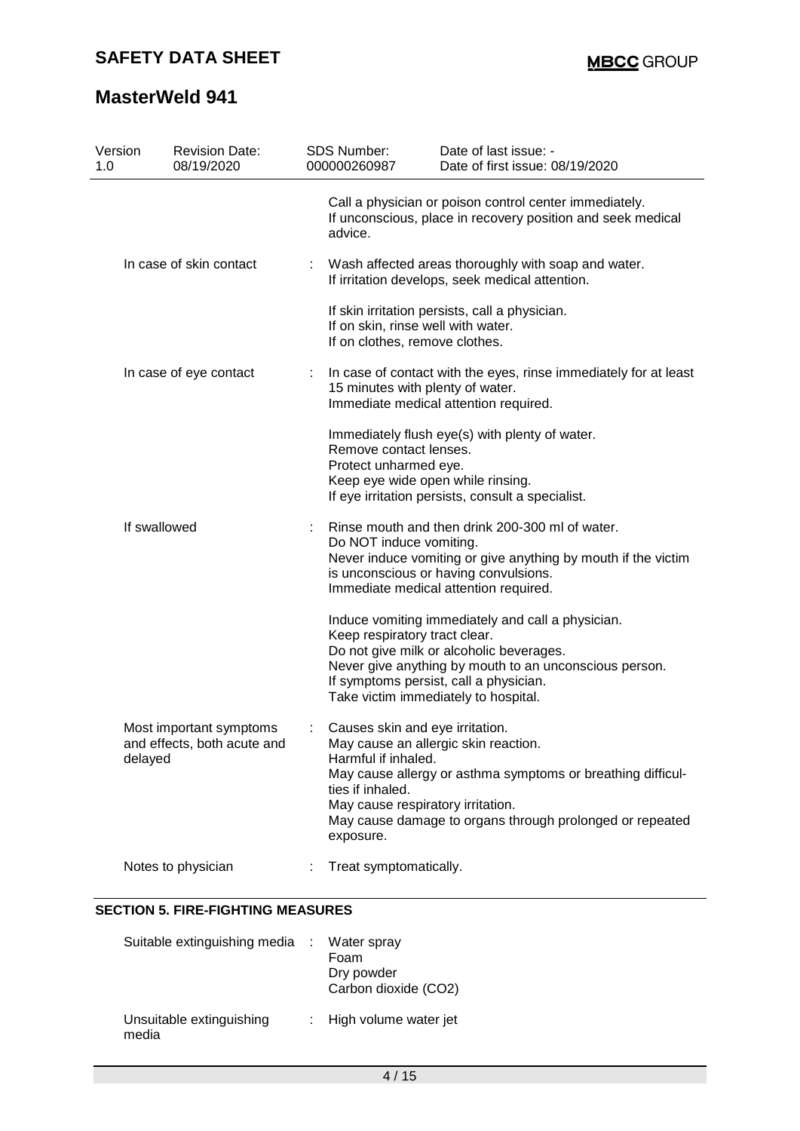| Version<br>1.0 | <b>Revision Date:</b><br>08/19/2020                               | SDS Number:<br>000000260987                                                                                                  | Date of last issue: -<br>Date of first issue: 08/19/2020                                                                                                                                                                                  |  |  |
|----------------|-------------------------------------------------------------------|------------------------------------------------------------------------------------------------------------------------------|-------------------------------------------------------------------------------------------------------------------------------------------------------------------------------------------------------------------------------------------|--|--|
|                |                                                                   | advice.                                                                                                                      | Call a physician or poison control center immediately.<br>If unconscious, place in recovery position and seek medical                                                                                                                     |  |  |
|                | In case of skin contact                                           | Wash affected areas thoroughly with soap and water.<br>If irritation develops, seek medical attention.                       |                                                                                                                                                                                                                                           |  |  |
|                |                                                                   | If on skin, rinse well with water.<br>If on clothes, remove clothes.                                                         | If skin irritation persists, call a physician.                                                                                                                                                                                            |  |  |
|                | In case of eye contact                                            | 15 minutes with plenty of water.                                                                                             | In case of contact with the eyes, rinse immediately for at least<br>Immediate medical attention required.                                                                                                                                 |  |  |
|                |                                                                   | Remove contact lenses.<br>Protect unharmed eye.                                                                              | Immediately flush eye(s) with plenty of water.<br>Keep eye wide open while rinsing.<br>If eye irritation persists, consult a specialist.                                                                                                  |  |  |
|                | If swallowed                                                      | Do NOT induce vomiting.                                                                                                      | Rinse mouth and then drink 200-300 ml of water.<br>Never induce vomiting or give anything by mouth if the victim<br>is unconscious or having convulsions.<br>Immediate medical attention required.                                        |  |  |
|                |                                                                   | Keep respiratory tract clear.                                                                                                | Induce vomiting immediately and call a physician.<br>Do not give milk or alcoholic beverages.<br>Never give anything by mouth to an unconscious person.<br>If symptoms persist, call a physician.<br>Take victim immediately to hospital. |  |  |
|                | Most important symptoms<br>and effects, both acute and<br>delayed | Causes skin and eye irritation.<br>Harmful if inhaled.<br>ties if inhaled.<br>May cause respiratory irritation.<br>exposure. | May cause an allergic skin reaction.<br>May cause allergy or asthma symptoms or breathing difficul-<br>May cause damage to organs through prolonged or repeated                                                                           |  |  |
|                | Notes to physician                                                | Treat symptomatically.                                                                                                       |                                                                                                                                                                                                                                           |  |  |

### **SECTION 5. FIRE-FIGHTING MEASURES**

| Suitable extinguishing media      | : Water spray<br>Foam<br>Dry powder<br>Carbon dioxide (CO2) |
|-----------------------------------|-------------------------------------------------------------|
| Unsuitable extinguishing<br>media | : High volume water jet                                     |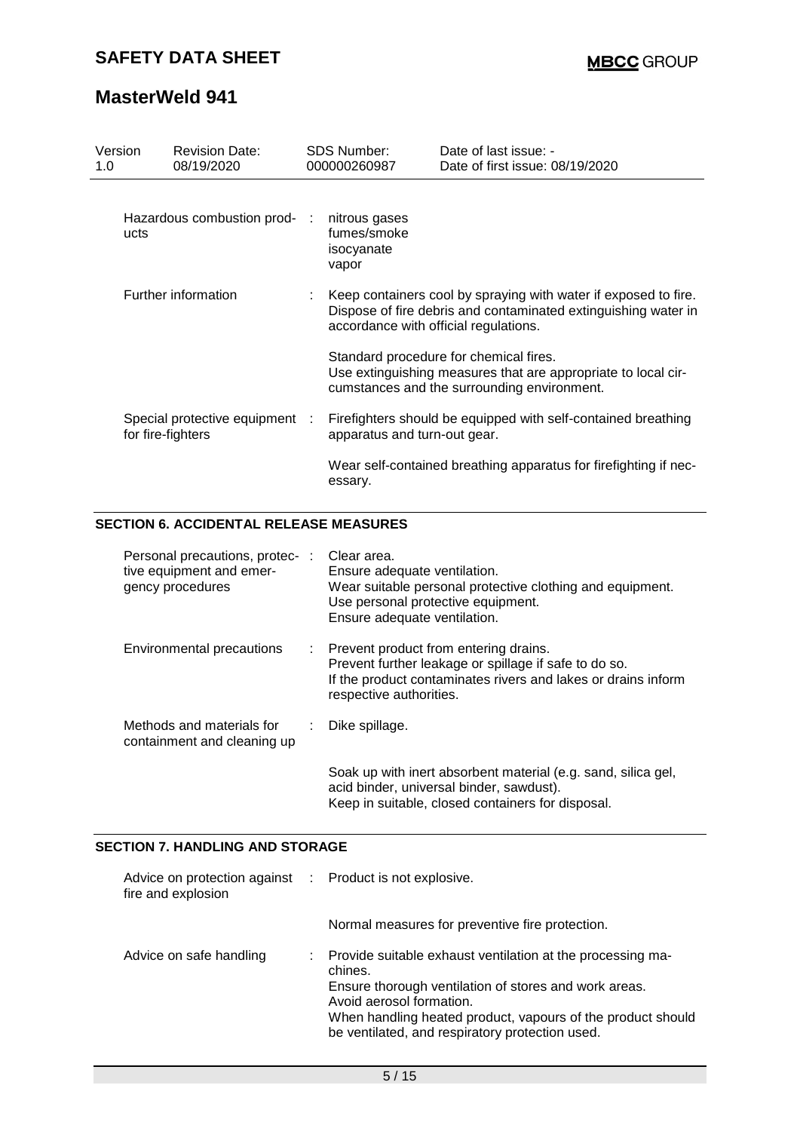| Version<br>1.0      | <b>Revision Date:</b><br>08/19/2020                 | <b>SDS Number:</b><br>000000260987                  | Date of last issue: -<br>Date of first issue: 08/19/2020                                                                                               |
|---------------------|-----------------------------------------------------|-----------------------------------------------------|--------------------------------------------------------------------------------------------------------------------------------------------------------|
| ucts                | Hazardous combustion prod-                          | nitrous gases<br>fumes/smoke<br>isocyanate<br>vapor |                                                                                                                                                        |
| Further information |                                                     | accordance with official regulations.               | Keep containers cool by spraying with water if exposed to fire.<br>Dispose of fire debris and contaminated extinguishing water in                      |
|                     |                                                     |                                                     | Standard procedure for chemical fires.<br>Use extinguishing measures that are appropriate to local cir-<br>cumstances and the surrounding environment. |
|                     | Special protective equipment :<br>for fire-fighters | apparatus and turn-out gear.                        | Firefighters should be equipped with self-contained breathing                                                                                          |
|                     |                                                     | essary.                                             | Wear self-contained breathing apparatus for firefighting if nec-                                                                                       |

### **SECTION 6. ACCIDENTAL RELEASE MEASURES**

| Personal precautions, protec-:<br>tive equipment and emer-<br>gency procedures | Clear area.<br>Ensure adequate ventilation.<br>Wear suitable personal protective clothing and equipment.<br>Use personal protective equipment.<br>Ensure adequate ventilation.               |
|--------------------------------------------------------------------------------|----------------------------------------------------------------------------------------------------------------------------------------------------------------------------------------------|
| Environmental precautions                                                      | : Prevent product from entering drains.<br>Prevent further leakage or spillage if safe to do so.<br>If the product contaminates rivers and lakes or drains inform<br>respective authorities. |
| Methods and materials for<br>containment and cleaning up                       | Dike spillage.                                                                                                                                                                               |
|                                                                                | Soak up with inert absorbent material (e.g. sand, silica gel,<br>acid binder, universal binder, sawdust).<br>Keep in suitable, closed containers for disposal.                               |

### **SECTION 7. HANDLING AND STORAGE**

| Advice on protection against : Product is not explosive.<br>fire and explosion |                                                                                                                                                                                                                                                                              |  |
|--------------------------------------------------------------------------------|------------------------------------------------------------------------------------------------------------------------------------------------------------------------------------------------------------------------------------------------------------------------------|--|
|                                                                                | Normal measures for preventive fire protection.                                                                                                                                                                                                                              |  |
| Advice on safe handling                                                        | Provide suitable exhaust ventilation at the processing ma-<br>chines.<br>Ensure thorough ventilation of stores and work areas.<br>Avoid aerosol formation.<br>When handling heated product, vapours of the product should<br>be ventilated, and respiratory protection used. |  |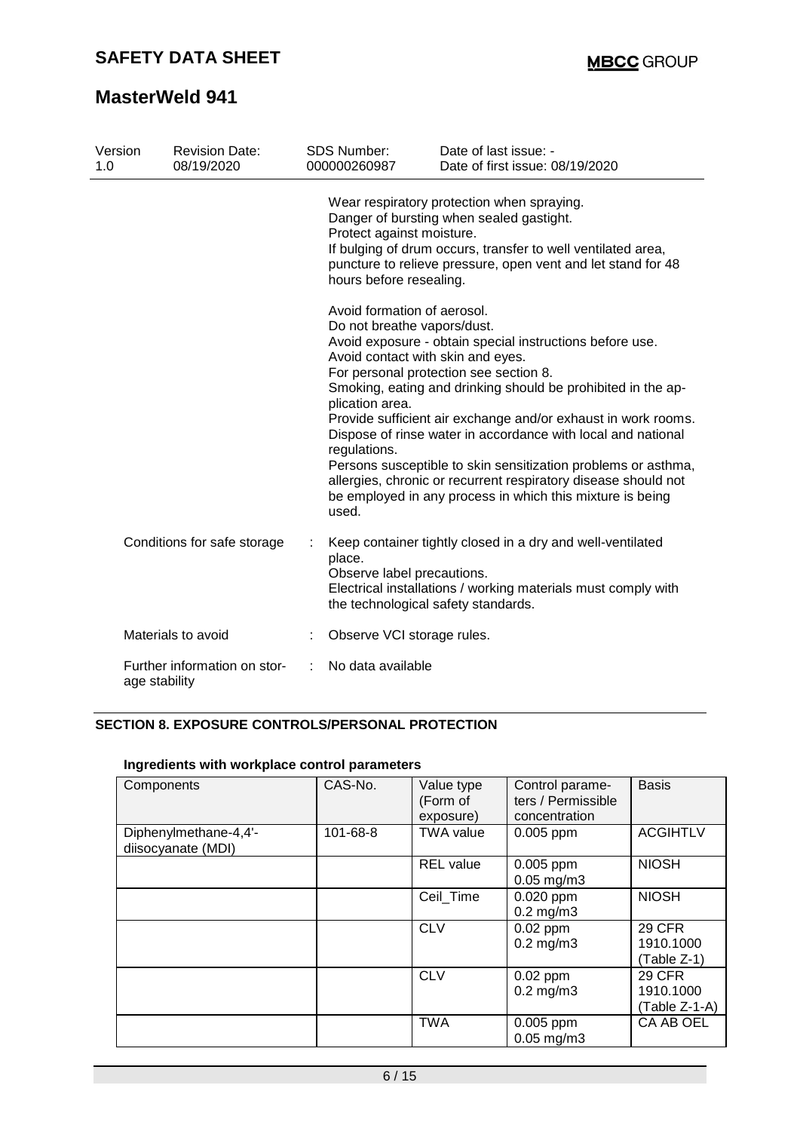| Version<br>1.0 |               | <b>Revision Date:</b><br>08/19/2020 | <b>SDS Number:</b><br>000000260987                                                                                                          | Date of last issue: -<br>Date of first issue: 08/19/2020                                                                                                                                                                                                                                                                                                                                                                                                                                            |
|----------------|---------------|-------------------------------------|---------------------------------------------------------------------------------------------------------------------------------------------|-----------------------------------------------------------------------------------------------------------------------------------------------------------------------------------------------------------------------------------------------------------------------------------------------------------------------------------------------------------------------------------------------------------------------------------------------------------------------------------------------------|
|                |               |                                     | Protect against moisture.<br>hours before resealing.                                                                                        | Wear respiratory protection when spraying.<br>Danger of bursting when sealed gastight.<br>If bulging of drum occurs, transfer to well ventilated area,<br>puncture to relieve pressure, open vent and let stand for 48                                                                                                                                                                                                                                                                              |
|                |               |                                     | Avoid formation of aerosol.<br>Do not breathe vapors/dust.<br>Avoid contact with skin and eyes.<br>plication area.<br>regulations.<br>used. | Avoid exposure - obtain special instructions before use.<br>For personal protection see section 8.<br>Smoking, eating and drinking should be prohibited in the ap-<br>Provide sufficient air exchange and/or exhaust in work rooms.<br>Dispose of rinse water in accordance with local and national<br>Persons susceptible to skin sensitization problems or asthma,<br>allergies, chronic or recurrent respiratory disease should not<br>be employed in any process in which this mixture is being |
|                |               | Conditions for safe storage         | place.<br>Observe label precautions.<br>the technological safety standards.                                                                 | Keep container tightly closed in a dry and well-ventilated<br>Electrical installations / working materials must comply with                                                                                                                                                                                                                                                                                                                                                                         |
|                |               | Materials to avoid                  | Observe VCI storage rules.                                                                                                                  |                                                                                                                                                                                                                                                                                                                                                                                                                                                                                                     |
|                | age stability | Further information on stor-        | No data available                                                                                                                           |                                                                                                                                                                                                                                                                                                                                                                                                                                                                                                     |

### **SECTION 8. EXPOSURE CONTROLS/PERSONAL PROTECTION**

| Components                                  | CAS-No.  | Value type<br>(Form of<br>exposure) | Control parame-<br>ters / Permissible<br>concentration | <b>Basis</b>                              |
|---------------------------------------------|----------|-------------------------------------|--------------------------------------------------------|-------------------------------------------|
| Diphenylmethane-4,4'-<br>diisocyanate (MDI) | 101-68-8 | <b>TWA value</b>                    | 0.005 ppm                                              | <b>ACGIHTLV</b>                           |
|                                             |          | <b>REL</b> value                    | 0.005 ppm<br>$0.05$ mg/m $3$                           | <b>NIOSH</b>                              |
|                                             |          | Ceil_Time                           | $0.020$ ppm<br>$0.2$ mg/m $3$                          | <b>NIOSH</b>                              |
|                                             |          | <b>CLV</b>                          | $0.02$ ppm<br>$0.2$ mg/m $3$                           | <b>29 CFR</b><br>1910.1000<br>(Table Z-1) |
|                                             |          | <b>CLV</b>                          | $0.02$ ppm<br>$0.2$ mg/m $3$                           | 29 CFR<br>1910.1000<br>(Table Z-1-A)      |
|                                             |          | <b>TWA</b>                          | $0.005$ ppm<br>$0.05$ mg/m $3$                         | CA AB OEL                                 |

### **Ingredients with workplace control parameters**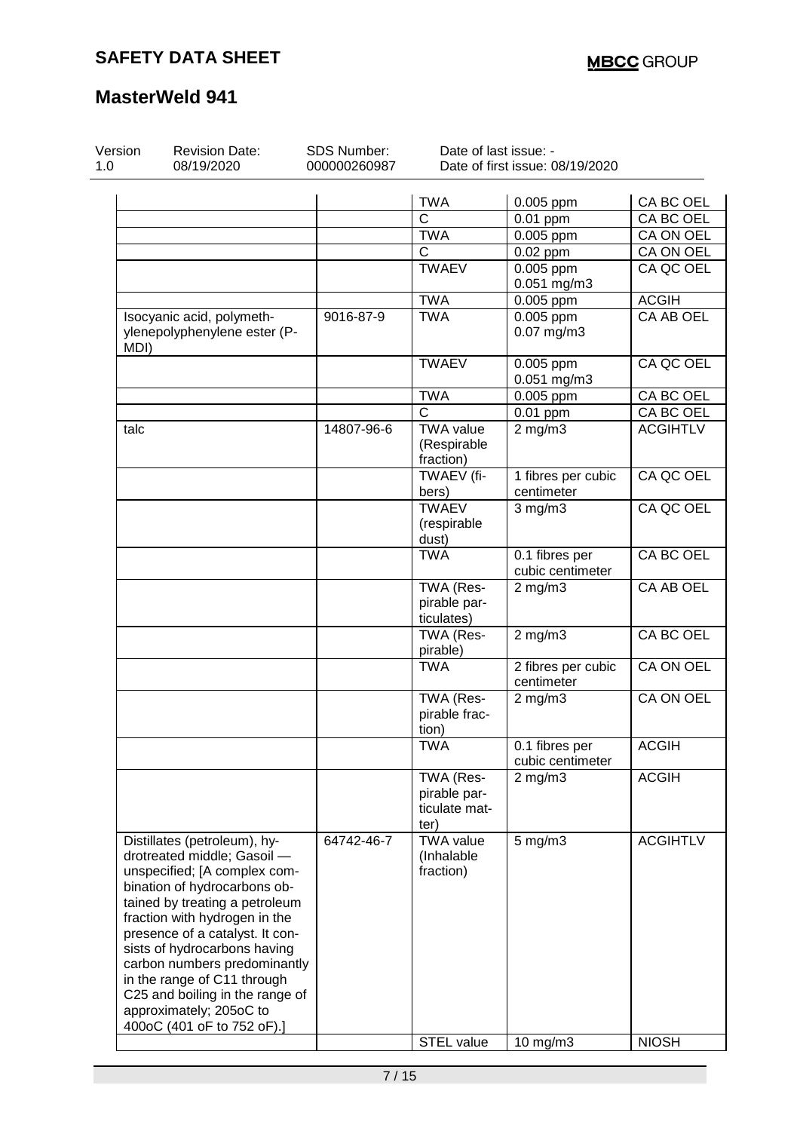| Version<br>1.0 | <b>Revision Date:</b><br>08/19/2020 | SDS Number:<br>000000260987 | Date of last issue: - | Date of first issue: 08/19/2020 |                  |
|----------------|-------------------------------------|-----------------------------|-----------------------|---------------------------------|------------------|
|                |                                     |                             | <b>TWA</b>            |                                 | CA BC OEL        |
|                |                                     |                             | $\mathsf{C}$          | 0.005 ppm                       |                  |
|                |                                     |                             |                       | 0.01 ppm                        | CA BC OEL        |
|                |                                     |                             | <b>TWA</b>            | 0.005 ppm                       | CA ON OEL        |
|                |                                     |                             | C                     | 0.02 ppm                        | CA ON OEL        |
|                |                                     |                             | <b>TWAEV</b>          | 0.005 ppm                       | CA QC OEL        |
|                |                                     |                             |                       | 0.051 mg/m3                     |                  |
|                |                                     |                             | <b>TWA</b>            | 0.005 ppm                       | <b>ACGIH</b>     |
|                | Isocyanic acid, polymeth-           | 9016-87-9                   | <b>TWA</b>            | 0.005 ppm                       | <b>CA AB OEL</b> |
|                | ylenepolyphenylene ester (P-        |                             |                       | 0.07 mg/m3                      |                  |
| MDI)           |                                     |                             |                       |                                 |                  |
|                |                                     |                             | <b>TWAEV</b>          | 0.005 ppm                       | CA QC OEL        |
|                |                                     |                             |                       | 0.051 mg/m3                     |                  |
|                |                                     |                             | <b>TWA</b>            | 0.005 ppm                       | CA BC OEL        |
|                |                                     |                             | $\overline{C}$        | $0.01$ ppm                      | CA BC OEL        |
| talc           |                                     | 14807-96-6                  | <b>TWA value</b>      | $2$ mg/m $3$                    | <b>ACGIHTLV</b>  |
|                |                                     |                             | (Respirable           |                                 |                  |
|                |                                     |                             | fraction)             |                                 |                  |
|                |                                     |                             | TWAEV (fi-            | 1 fibres per cubic              | CA QC OEL        |
|                |                                     |                             | bers)                 | centimeter                      |                  |
|                |                                     |                             | <b>TWAEV</b>          | $3$ mg/m $3$                    | CA QC OEL        |
|                |                                     |                             | (respirable           |                                 |                  |
|                |                                     |                             | dust)                 |                                 |                  |
|                |                                     |                             | <b>TWA</b>            | 0.1 fibres per                  | <b>CA BC OEL</b> |
|                |                                     |                             |                       | cubic centimeter                |                  |
|                |                                     |                             | TWA (Res-             | $2$ mg/m $3$                    | CA AB OEL        |
|                |                                     |                             | pirable par-          |                                 |                  |
|                |                                     |                             | ticulates)            |                                 |                  |
|                |                                     |                             | TWA (Res-             | $2$ mg/m $3$                    | CA BC OEL        |
|                |                                     |                             | pirable)              |                                 |                  |
|                |                                     |                             | <b>TWA</b>            | 2 fibres per cubic              | <b>CA ON OEL</b> |
|                |                                     |                             |                       | centimeter                      |                  |
|                |                                     |                             | TWA (Res-             | $2$ mg/m $3$                    | <b>CA ON OEL</b> |
|                |                                     |                             | pirable frac-         |                                 |                  |
|                |                                     |                             |                       |                                 |                  |
|                |                                     |                             | tion)                 |                                 |                  |
|                |                                     |                             | <b>TWA</b>            | 0.1 fibres per                  | <b>ACGIH</b>     |
|                |                                     |                             |                       | cubic centimeter                |                  |
|                |                                     |                             | TWA (Res-             | $2$ mg/m $3$                    | <b>ACGIH</b>     |
|                |                                     |                             | pirable par-          |                                 |                  |
|                |                                     |                             | ticulate mat-         |                                 |                  |
|                |                                     |                             | ter)                  |                                 |                  |
|                | Distillates (petroleum), hy-        | 64742-46-7                  | <b>TWA value</b>      | $5$ mg/m $3$                    | <b>ACGIHTLV</b>  |
|                | drotreated middle; Gasoil -         |                             | (Inhalable            |                                 |                  |
|                | unspecified; [A complex com-        |                             | fraction)             |                                 |                  |
|                | bination of hydrocarbons ob-        |                             |                       |                                 |                  |
|                | tained by treating a petroleum      |                             |                       |                                 |                  |
|                | fraction with hydrogen in the       |                             |                       |                                 |                  |
|                | presence of a catalyst. It con-     |                             |                       |                                 |                  |
|                | sists of hydrocarbons having        |                             |                       |                                 |                  |
|                | carbon numbers predominantly        |                             |                       |                                 |                  |
|                | in the range of C11 through         |                             |                       |                                 |                  |
|                | C25 and boiling in the range of     |                             |                       |                                 |                  |
|                | approximately; 205oC to             |                             |                       |                                 |                  |
|                | 400oC (401 oF to 752 oF).]          |                             |                       |                                 |                  |
|                |                                     |                             | <b>STEL value</b>     | $10$ mg/m $3$                   | <b>NIOSH</b>     |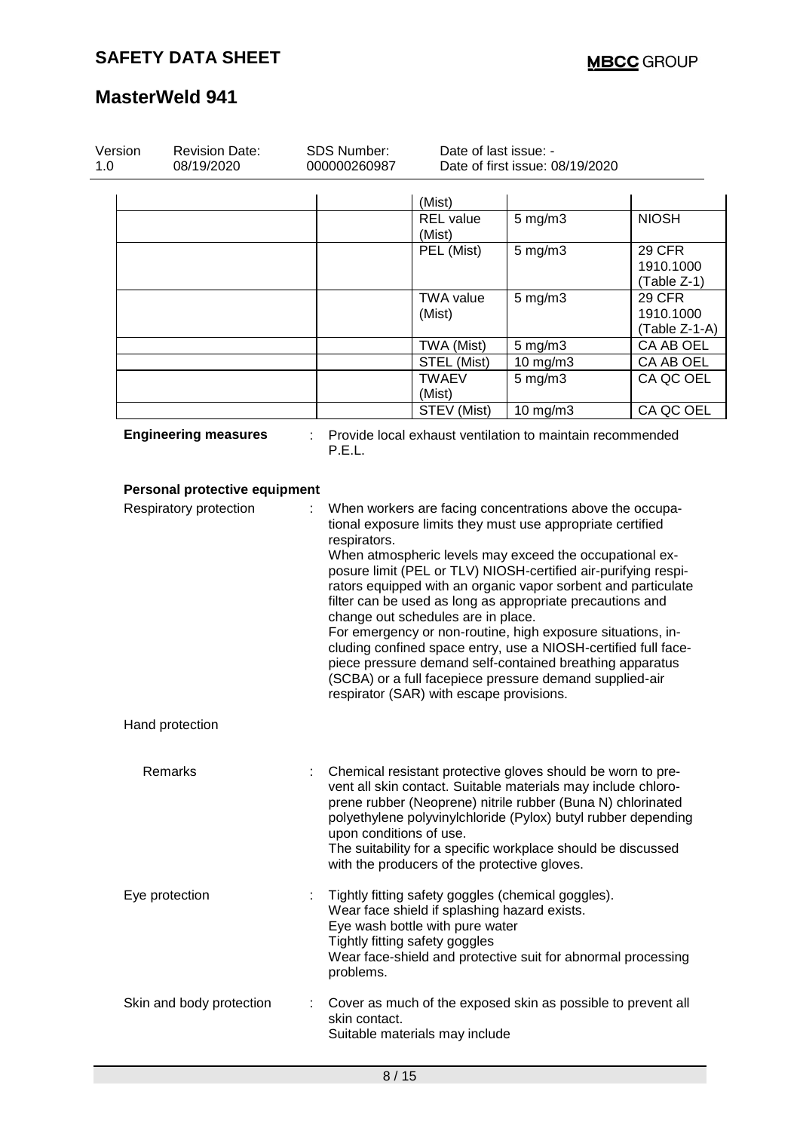| Version<br>1.0 | <b>Revision Date:</b><br>08/19/2020 | SDS Number:<br>000000260987                                                                                                                                                                                                                                                                                                                                                                                                                                                                                                                                                                                                                                                                                                                 | Date of last issue: -                                                                                             | Date of first issue: 08/19/2020                                                                                                                                                                                                                                                                                              |                                           |
|----------------|-------------------------------------|---------------------------------------------------------------------------------------------------------------------------------------------------------------------------------------------------------------------------------------------------------------------------------------------------------------------------------------------------------------------------------------------------------------------------------------------------------------------------------------------------------------------------------------------------------------------------------------------------------------------------------------------------------------------------------------------------------------------------------------------|-------------------------------------------------------------------------------------------------------------------|------------------------------------------------------------------------------------------------------------------------------------------------------------------------------------------------------------------------------------------------------------------------------------------------------------------------------|-------------------------------------------|
|                |                                     |                                                                                                                                                                                                                                                                                                                                                                                                                                                                                                                                                                                                                                                                                                                                             | (Mist)                                                                                                            |                                                                                                                                                                                                                                                                                                                              |                                           |
|                |                                     |                                                                                                                                                                                                                                                                                                                                                                                                                                                                                                                                                                                                                                                                                                                                             | <b>REL</b> value<br>(Mist)                                                                                        | $5$ mg/m $3$                                                                                                                                                                                                                                                                                                                 | <b>NIOSH</b>                              |
|                |                                     |                                                                                                                                                                                                                                                                                                                                                                                                                                                                                                                                                                                                                                                                                                                                             | PEL (Mist)                                                                                                        | $5$ mg/m $3$                                                                                                                                                                                                                                                                                                                 | <b>29 CFR</b><br>1910.1000<br>(Table Z-1) |
|                |                                     |                                                                                                                                                                                                                                                                                                                                                                                                                                                                                                                                                                                                                                                                                                                                             | <b>TWA value</b><br>(Mist)                                                                                        | $5$ mg/m $3$                                                                                                                                                                                                                                                                                                                 | 29 CFR<br>1910.1000<br>(Table Z-1-A)      |
|                |                                     |                                                                                                                                                                                                                                                                                                                                                                                                                                                                                                                                                                                                                                                                                                                                             | TWA (Mist)                                                                                                        | $5$ mg/m $3$                                                                                                                                                                                                                                                                                                                 | CA AB OEL                                 |
|                |                                     |                                                                                                                                                                                                                                                                                                                                                                                                                                                                                                                                                                                                                                                                                                                                             | STEL (Mist)                                                                                                       | 10 mg/m3                                                                                                                                                                                                                                                                                                                     | CA AB OEL                                 |
|                |                                     |                                                                                                                                                                                                                                                                                                                                                                                                                                                                                                                                                                                                                                                                                                                                             | <b>TWAEV</b><br>(Mist)                                                                                            | $5$ mg/m $3$                                                                                                                                                                                                                                                                                                                 | CA QC OEL                                 |
|                |                                     |                                                                                                                                                                                                                                                                                                                                                                                                                                                                                                                                                                                                                                                                                                                                             | STEV (Mist)                                                                                                       | 10 mg/m3                                                                                                                                                                                                                                                                                                                     | CA QC OEL                                 |
|                | <b>Engineering measures</b>         | P.E.L.                                                                                                                                                                                                                                                                                                                                                                                                                                                                                                                                                                                                                                                                                                                                      |                                                                                                                   | Provide local exhaust ventilation to maintain recommended                                                                                                                                                                                                                                                                    |                                           |
|                | Personal protective equipment       |                                                                                                                                                                                                                                                                                                                                                                                                                                                                                                                                                                                                                                                                                                                                             |                                                                                                                   |                                                                                                                                                                                                                                                                                                                              |                                           |
|                | Respiratory protection              | When workers are facing concentrations above the occupa-<br>tional exposure limits they must use appropriate certified<br>respirators.<br>When atmospheric levels may exceed the occupational ex-<br>posure limit (PEL or TLV) NIOSH-certified air-purifying respi-<br>rators equipped with an organic vapor sorbent and particulate<br>filter can be used as long as appropriate precautions and<br>change out schedules are in place.<br>For emergency or non-routine, high exposure situations, in-<br>cluding confined space entry, use a NIOSH-certified full face-<br>piece pressure demand self-contained breathing apparatus<br>(SCBA) or a full facepiece pressure demand supplied-air<br>respirator (SAR) with escape provisions. |                                                                                                                   |                                                                                                                                                                                                                                                                                                                              |                                           |
|                | Hand protection                     |                                                                                                                                                                                                                                                                                                                                                                                                                                                                                                                                                                                                                                                                                                                                             |                                                                                                                   |                                                                                                                                                                                                                                                                                                                              |                                           |
|                | <b>Remarks</b>                      | upon conditions of use.                                                                                                                                                                                                                                                                                                                                                                                                                                                                                                                                                                                                                                                                                                                     | with the producers of the protective gloves.                                                                      | Chemical resistant protective gloves should be worn to pre-<br>vent all skin contact. Suitable materials may include chloro-<br>prene rubber (Neoprene) nitrile rubber (Buna N) chlorinated<br>polyethylene polyvinylchloride (Pylox) butyl rubber depending<br>The suitability for a specific workplace should be discussed |                                           |
|                | Eye protection                      | problems.                                                                                                                                                                                                                                                                                                                                                                                                                                                                                                                                                                                                                                                                                                                                   | Wear face shield if splashing hazard exists.<br>Eye wash bottle with pure water<br>Tightly fitting safety goggles | Tightly fitting safety goggles (chemical goggles).<br>Wear face-shield and protective suit for abnormal processing                                                                                                                                                                                                           |                                           |
|                | Skin and body protection            | skin contact.                                                                                                                                                                                                                                                                                                                                                                                                                                                                                                                                                                                                                                                                                                                               | Suitable materials may include                                                                                    | Cover as much of the exposed skin as possible to prevent all                                                                                                                                                                                                                                                                 |                                           |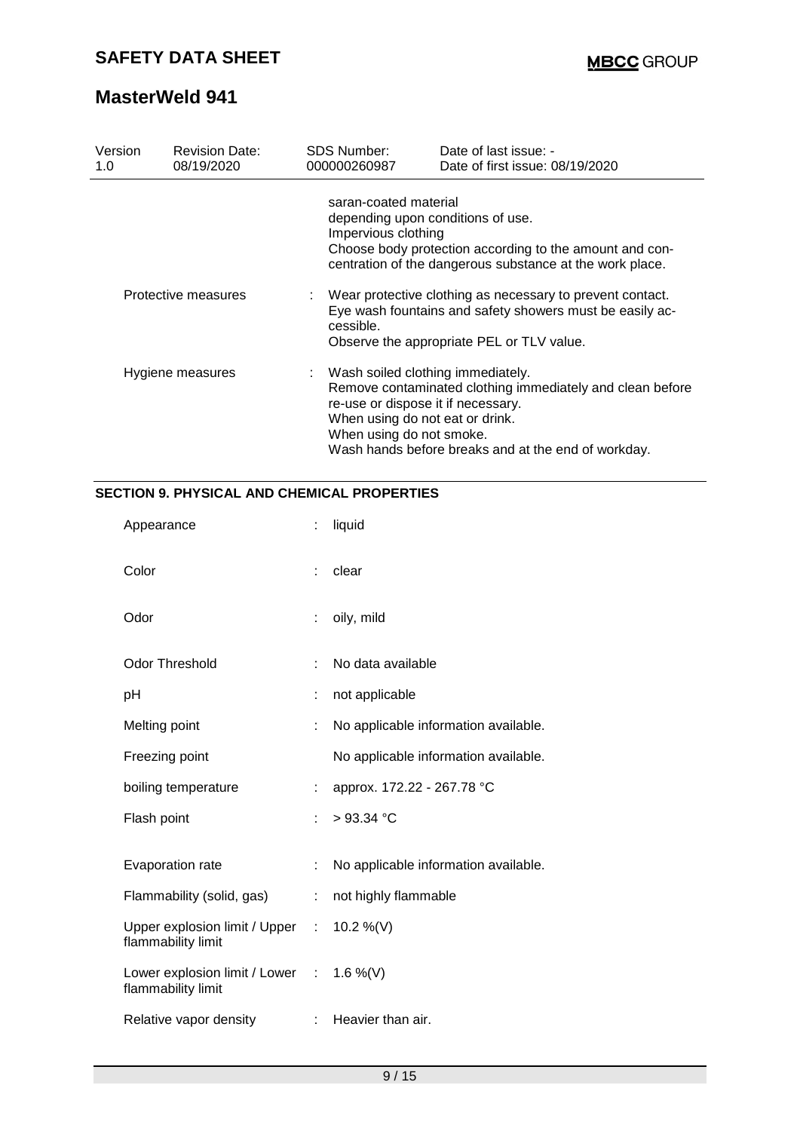| Version<br>1.0   | <b>Revision Date:</b><br>08/19/2020 | <b>SDS Number:</b><br>000000260987           | Date of last issue: -<br>Date of first issue: 08/19/2020                                                                                                                                                                         |
|------------------|-------------------------------------|----------------------------------------------|----------------------------------------------------------------------------------------------------------------------------------------------------------------------------------------------------------------------------------|
|                  |                                     | saran-coated material<br>Impervious clothing | depending upon conditions of use.<br>Choose body protection according to the amount and con-<br>centration of the dangerous substance at the work place.                                                                         |
|                  | Protective measures                 | cessible.                                    | : Wear protective clothing as necessary to prevent contact.<br>Eye wash fountains and safety showers must be easily ac-<br>Observe the appropriate PEL or TLV value.                                                             |
| Hygiene measures |                                     | When using do not smoke.                     | : Wash soiled clothing immediately.<br>Remove contaminated clothing immediately and clean before<br>re-use or dispose it if necessary.<br>When using do not eat or drink.<br>Wash hands before breaks and at the end of workday. |

### **SECTION 9. PHYSICAL AND CHEMICAL PROPERTIES**

| Appearance                                                     |    | liquid                               |
|----------------------------------------------------------------|----|--------------------------------------|
| Color                                                          |    | clear                                |
| Odor                                                           | ÷  | oily, mild                           |
| <b>Odor Threshold</b>                                          | ÷  | No data available                    |
| рH                                                             |    | not applicable                       |
| Melting point                                                  | t  | No applicable information available. |
| Freezing point                                                 |    | No applicable information available. |
| boiling temperature                                            |    | approx. 172.22 - 267.78 °C           |
| Flash point                                                    | ÷. | $>93.34$ °C                          |
| Evaporation rate                                               |    | No applicable information available. |
| Flammability (solid, gas)                                      |    | not highly flammable                 |
| Upper explosion limit / Upper :<br>flammability limit          |    | 10.2 %(V)                            |
| Lower explosion limit / Lower : 1.6 %(V)<br>flammability limit |    |                                      |
| Relative vapor density                                         |    | $:$ Heavier than air.                |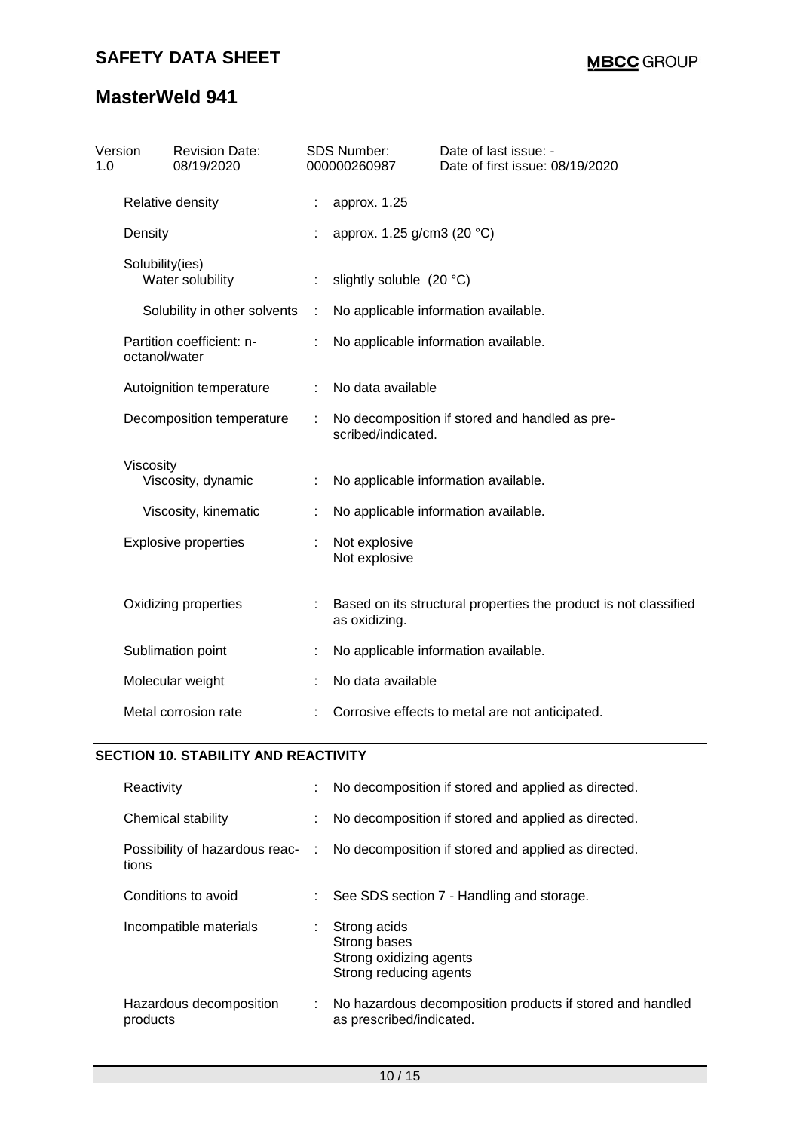| Version<br>1.0 |                                 | <b>Revision Date:</b><br>08/19/2020 | <b>SDS Number:</b><br>000000260987                                                | Date of last issue: -<br>Date of first issue: 08/19/2020 |  |
|----------------|---------------------------------|-------------------------------------|-----------------------------------------------------------------------------------|----------------------------------------------------------|--|
|                |                                 | Relative density                    | approx. 1.25                                                                      |                                                          |  |
|                | Density                         |                                     | approx. 1.25 g/cm3 (20 °C)                                                        |                                                          |  |
|                | Solubility(ies)                 | Water solubility                    | slightly soluble (20 °C)                                                          |                                                          |  |
|                |                                 | Solubility in other solvents        |                                                                                   | No applicable information available.                     |  |
|                | octanol/water                   | Partition coefficient: n-           | No applicable information available.                                              |                                                          |  |
|                |                                 | Autoignition temperature            | No data available                                                                 |                                                          |  |
|                |                                 | Decomposition temperature           | No decomposition if stored and handled as pre-<br>scribed/indicated.              |                                                          |  |
|                | Viscosity<br>Viscosity, dynamic |                                     |                                                                                   | No applicable information available.                     |  |
|                |                                 | Viscosity, kinematic                |                                                                                   | No applicable information available.                     |  |
|                |                                 | <b>Explosive properties</b>         | Not explosive<br>Not explosive                                                    |                                                          |  |
|                |                                 | Oxidizing properties                | Based on its structural properties the product is not classified<br>as oxidizing. |                                                          |  |
|                |                                 | Sublimation point                   | No applicable information available.                                              |                                                          |  |
|                |                                 | Molecular weight                    | No data available                                                                 |                                                          |  |
|                |                                 | Metal corrosion rate                |                                                                                   | Corrosive effects to metal are not anticipated.          |  |

# **SECTION 10. STABILITY AND REACTIVITY**

| Reactivity                              | t. | No decomposition if stored and applied as directed.                                   |
|-----------------------------------------|----|---------------------------------------------------------------------------------------|
| Chemical stability                      |    | No decomposition if stored and applied as directed.                                   |
| Possibility of hazardous reac-<br>tions |    | No decomposition if stored and applied as directed.                                   |
| Conditions to avoid                     |    | See SDS section 7 - Handling and storage.                                             |
| Incompatible materials                  | ÷. | Strong acids<br>Strong bases<br>Strong oxidizing agents<br>Strong reducing agents     |
| Hazardous decomposition<br>products     | ÷. | No hazardous decomposition products if stored and handled<br>as prescribed/indicated. |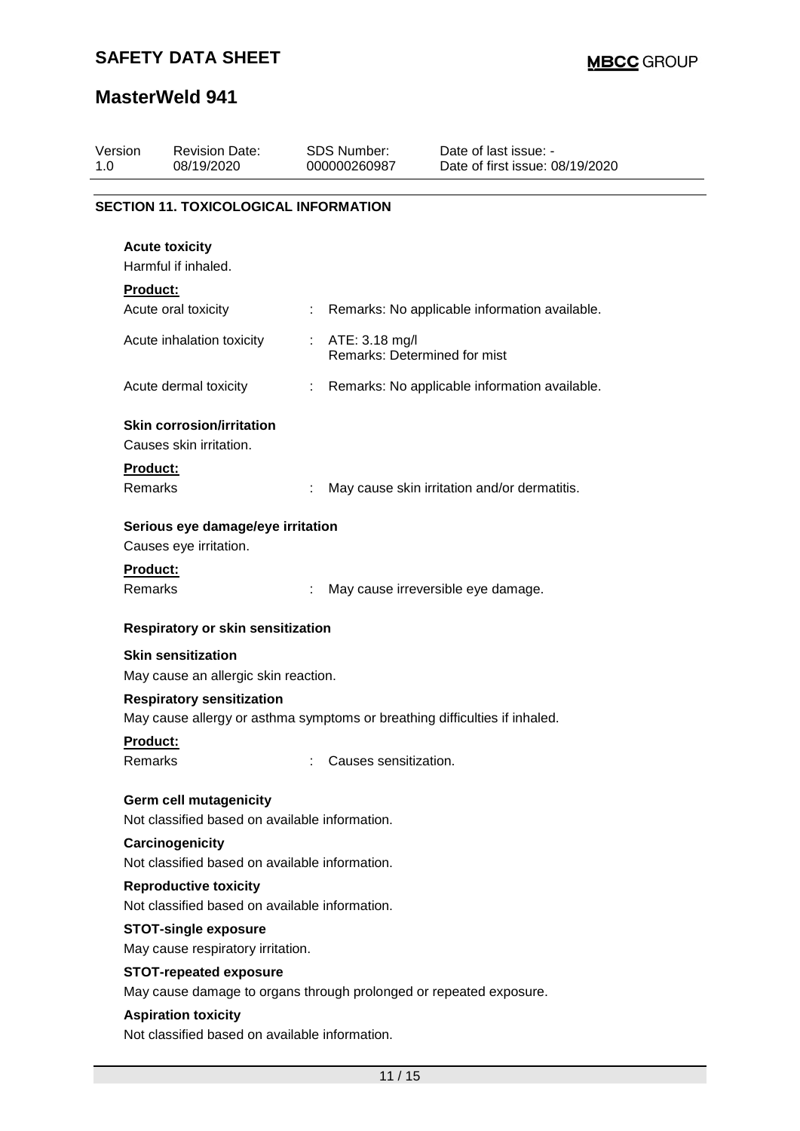| Version<br>1.0 |                            | <b>Revision Date:</b><br>08/19/2020                                             |   | <b>SDS Number:</b><br>000000260987             | Date of last issue: -<br>Date of first issue: 08/19/2020                   |  |
|----------------|----------------------------|---------------------------------------------------------------------------------|---|------------------------------------------------|----------------------------------------------------------------------------|--|
|                |                            | <b>SECTION 11. TOXICOLOGICAL INFORMATION</b>                                    |   |                                                |                                                                            |  |
|                |                            | <b>Acute toxicity</b><br>Harmful if inhaled.                                    |   |                                                |                                                                            |  |
|                | <b>Product:</b>            |                                                                                 |   |                                                |                                                                            |  |
|                |                            | Acute oral toxicity                                                             | ÷ |                                                | Remarks: No applicable information available.                              |  |
|                |                            | Acute inhalation toxicity                                                       | ÷ | ATE: 3.18 mg/l<br>Remarks: Determined for mist |                                                                            |  |
|                |                            | Acute dermal toxicity                                                           | ÷ |                                                | Remarks: No applicable information available.                              |  |
|                |                            | <b>Skin corrosion/irritation</b>                                                |   |                                                |                                                                            |  |
|                |                            | Causes skin irritation.                                                         |   |                                                |                                                                            |  |
|                | Product:                   |                                                                                 |   |                                                |                                                                            |  |
|                | Remarks                    |                                                                                 |   |                                                | May cause skin irritation and/or dermatitis.                               |  |
|                |                            | Serious eye damage/eye irritation                                               |   |                                                |                                                                            |  |
|                |                            | Causes eye irritation.                                                          |   |                                                |                                                                            |  |
|                | <b>Product:</b><br>Remarks |                                                                                 |   |                                                | May cause irreversible eye damage.                                         |  |
|                |                            | <b>Respiratory or skin sensitization</b>                                        |   |                                                |                                                                            |  |
|                |                            | <b>Skin sensitization</b>                                                       |   |                                                |                                                                            |  |
|                |                            | May cause an allergic skin reaction.                                            |   |                                                |                                                                            |  |
|                |                            | <b>Respiratory sensitization</b>                                                |   |                                                | May cause allergy or asthma symptoms or breathing difficulties if inhaled. |  |
|                | Product:                   |                                                                                 |   |                                                |                                                                            |  |
|                | Remarks                    |                                                                                 |   | Causes sensitization.                          |                                                                            |  |
|                |                            | <b>Germ cell mutagenicity</b><br>Not classified based on available information. |   |                                                |                                                                            |  |
|                |                            | Carcinogenicity<br>Not classified based on available information.               |   |                                                |                                                                            |  |
|                |                            | <b>Reproductive toxicity</b>                                                    |   |                                                |                                                                            |  |
|                |                            | Not classified based on available information.                                  |   |                                                |                                                                            |  |
|                |                            | <b>STOT-single exposure</b><br>May cause respiratory irritation.                |   |                                                |                                                                            |  |
|                |                            | <b>STOT-repeated exposure</b>                                                   |   |                                                |                                                                            |  |
|                |                            |                                                                                 |   |                                                | May cause damage to organs through prolonged or repeated exposure.         |  |
|                |                            | <b>Aspiration toxicity</b>                                                      |   |                                                |                                                                            |  |
|                |                            | Not classified based on available information.                                  |   |                                                |                                                                            |  |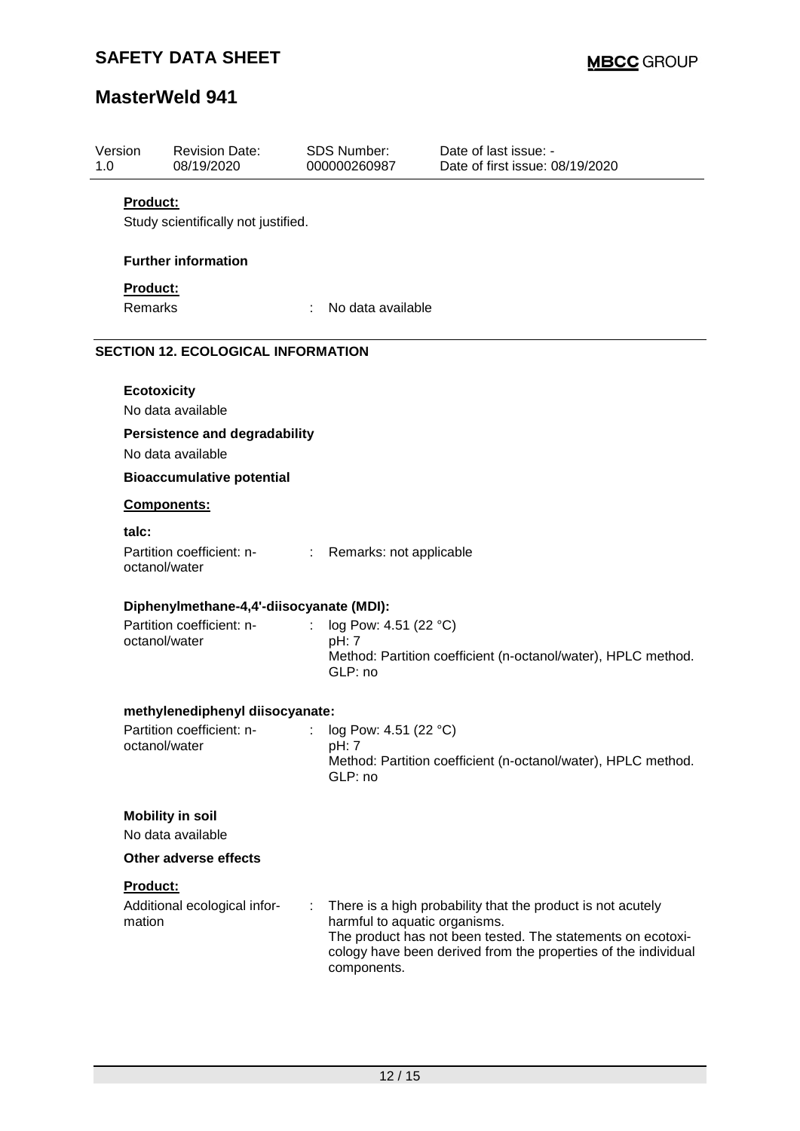| Version<br>1.0 |                                           | <b>Revision Date:</b><br>08/19/2020                       |   | <b>SDS Number:</b><br>000000260987           | Date of last issue: -<br>Date of first issue: 08/19/2020                                                                                                                                     |  |  |  |
|----------------|-------------------------------------------|-----------------------------------------------------------|---|----------------------------------------------|----------------------------------------------------------------------------------------------------------------------------------------------------------------------------------------------|--|--|--|
|                | <b>Product:</b>                           |                                                           |   |                                              |                                                                                                                                                                                              |  |  |  |
|                |                                           | Study scientifically not justified.                       |   |                                              |                                                                                                                                                                                              |  |  |  |
|                |                                           | <b>Further information</b>                                |   |                                              |                                                                                                                                                                                              |  |  |  |
|                |                                           |                                                           |   |                                              |                                                                                                                                                                                              |  |  |  |
|                | Product:<br><b>Remarks</b>                |                                                           |   | No data available                            |                                                                                                                                                                                              |  |  |  |
|                |                                           |                                                           |   |                                              |                                                                                                                                                                                              |  |  |  |
|                | <b>SECTION 12. ECOLOGICAL INFORMATION</b> |                                                           |   |                                              |                                                                                                                                                                                              |  |  |  |
|                | <b>Ecotoxicity</b>                        |                                                           |   |                                              |                                                                                                                                                                                              |  |  |  |
|                |                                           | No data available                                         |   |                                              |                                                                                                                                                                                              |  |  |  |
|                |                                           | <b>Persistence and degradability</b><br>No data available |   |                                              |                                                                                                                                                                                              |  |  |  |
|                |                                           | <b>Bioaccumulative potential</b>                          |   |                                              |                                                                                                                                                                                              |  |  |  |
|                |                                           | Components:                                               |   |                                              |                                                                                                                                                                                              |  |  |  |
|                | talc:                                     |                                                           |   |                                              |                                                                                                                                                                                              |  |  |  |
|                |                                           | Partition coefficient: n-<br>octanol/water                |   | : Remarks: not applicable                    |                                                                                                                                                                                              |  |  |  |
|                |                                           | Diphenylmethane-4,4'-diisocyanate (MDI):                  |   |                                              |                                                                                                                                                                                              |  |  |  |
|                |                                           | Partition coefficient: n-                                 |   | log Pow: 4.51 (22 °C)                        |                                                                                                                                                                                              |  |  |  |
|                |                                           | octanol/water                                             |   | pH: 7<br>GLP: no                             | Method: Partition coefficient (n-octanol/water), HPLC method.                                                                                                                                |  |  |  |
|                |                                           | methylenediphenyl diisocyanate:                           |   |                                              |                                                                                                                                                                                              |  |  |  |
|                |                                           | Partition coefficient: n-                                 | ÷ | log Pow: 4.51 (22 °C)                        |                                                                                                                                                                                              |  |  |  |
|                |                                           | octanol/water                                             |   | pH: 7<br>GLP: no                             | Method: Partition coefficient (n-octanol/water), HPLC method.                                                                                                                                |  |  |  |
|                |                                           | <b>Mobility in soil</b>                                   |   |                                              |                                                                                                                                                                                              |  |  |  |
|                |                                           | No data available                                         |   |                                              |                                                                                                                                                                                              |  |  |  |
|                |                                           | Other adverse effects                                     |   |                                              |                                                                                                                                                                                              |  |  |  |
|                | Product:                                  |                                                           |   |                                              |                                                                                                                                                                                              |  |  |  |
|                | mation                                    | Additional ecological infor-                              |   | harmful to aquatic organisms.<br>components. | There is a high probability that the product is not acutely<br>The product has not been tested. The statements on ecotoxi-<br>cology have been derived from the properties of the individual |  |  |  |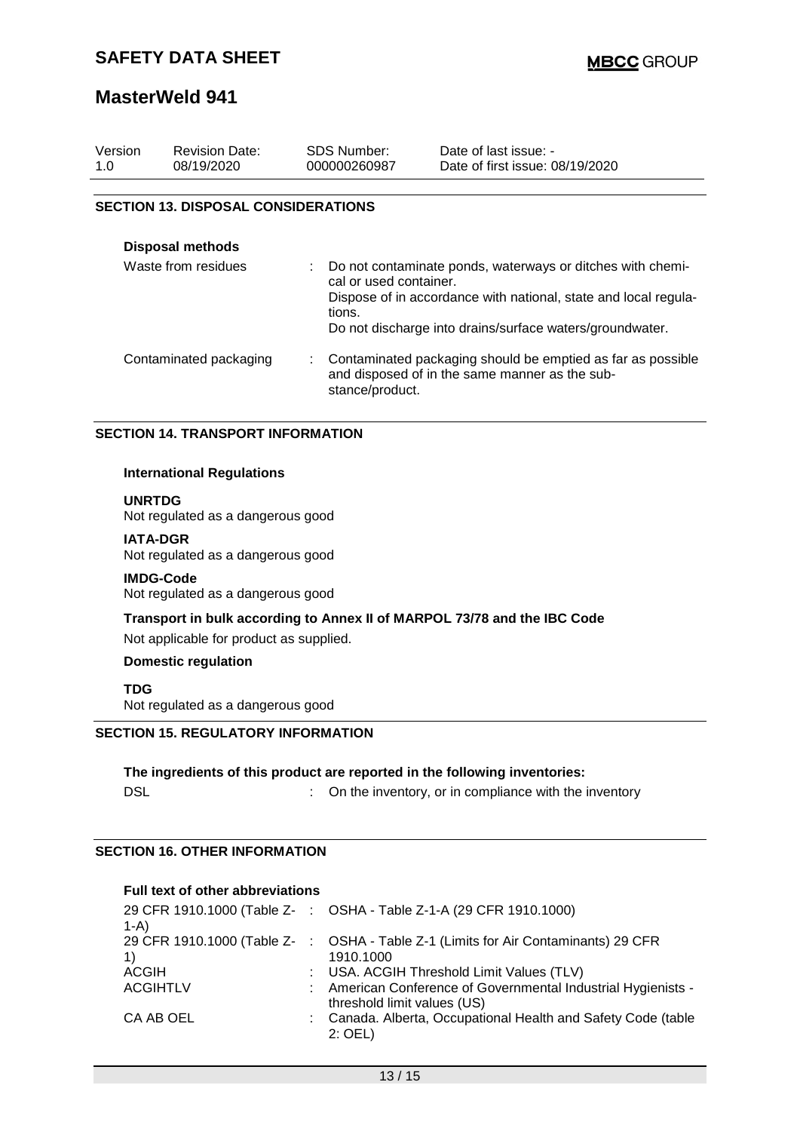### **MasterWeld 941**

| Version<br>1.0 | <b>Revision Date:</b><br>08/19/2020        | SDS Number:<br>000000260987      | Date of last issue: -<br>Date of first issue: 08/19/2020                                                                                                                                  |
|----------------|--------------------------------------------|----------------------------------|-------------------------------------------------------------------------------------------------------------------------------------------------------------------------------------------|
|                | <b>SECTION 13. DISPOSAL CONSIDERATIONS</b> |                                  |                                                                                                                                                                                           |
|                |                                            |                                  |                                                                                                                                                                                           |
|                | Disposal methods                           |                                  |                                                                                                                                                                                           |
|                | Waste from residues                        | cal or used container.<br>tions. | Do not contaminate ponds, waterways or ditches with chemi-<br>Dispose of in accordance with national, state and local regula-<br>Do not discharge into drains/surface waters/groundwater. |
|                | Contaminated packaging                     | ÷.<br>stance/product.            | Contaminated packaging should be emptied as far as possible<br>and disposed of in the same manner as the sub-                                                                             |

#### **SECTION 14. TRANSPORT INFORMATION**

#### **International Regulations**

#### **UNRTDG**

Not regulated as a dangerous good

#### **IATA-DGR**

Not regulated as a dangerous good

#### **IMDG-Code**

Not regulated as a dangerous good

### **Transport in bulk according to Annex II of MARPOL 73/78 and the IBC Code**

Not applicable for product as supplied.

### **Domestic regulation**

**TDG**

Not regulated as a dangerous good

### **SECTION 15. REGULATORY INFORMATION**

### **The ingredients of this product are reported in the following inventories:**

DSL **DISL DISL COMPONE 1 COMPONE 1 COMPONE 1 COMPONE 1 COMPONE 1 COMPONE 1 COMPONE 1 COMPONE 1 COMPONE 1 COMPONE 1 COMPONE 1 COMPONE 1 COMPONE 1 COMPONE 1 COMPONE 1 COMPONE 1 COMPONE 1**

### **SECTION 16. OTHER INFORMATION**

### **Full text of other abbreviations**

| 29 CFR 1910.1000 (Table Z- : OSHA - Table Z-1-A (29 CFR 1910.1000)                 |
|------------------------------------------------------------------------------------|
|                                                                                    |
| 29 CFR 1910.1000 (Table Z- : OSHA - Table Z-1 (Limits for Air Contaminants) 29 CFR |
| 1910.1000                                                                          |
| : USA. ACGIH Threshold Limit Values (TLV)                                          |
| : American Conference of Governmental Industrial Hygienists -                      |
| threshold limit values (US)                                                        |
| : Canada. Alberta, Occupational Health and Safety Code (table                      |
| $2:$ OEL)                                                                          |
|                                                                                    |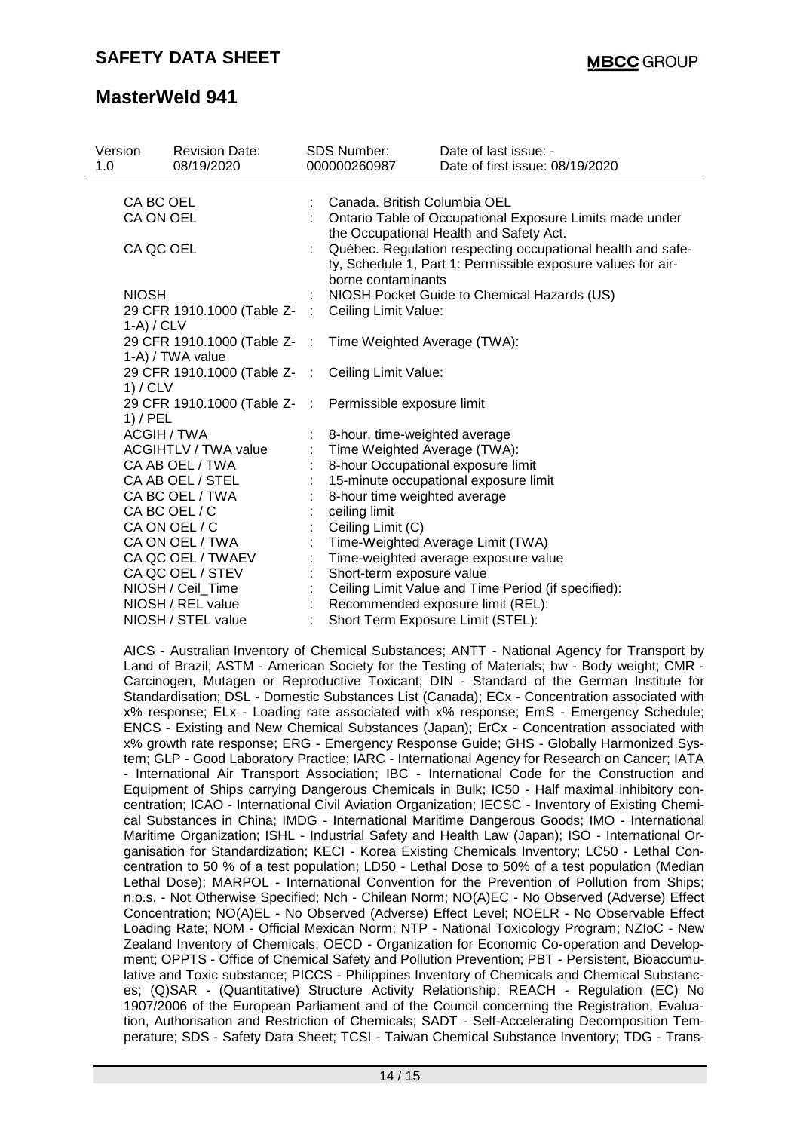| Version<br>1.0                   | <b>Revision Date:</b><br>08/19/2020            |                              | <b>SDS Number:</b><br>000000260987                            | Date of last issue: -<br>Date of first issue: 08/19/2020                                                                                                                                                                                                                                                                                                                                                                                                                                                                                                                                                                                                                                                                                                                                                                                                                                                                                                                                                                                                                                                                                                                                                                                                                                                                                                                                                                                                                                                                                                                                                                                                                                                                                                                                                                                                                          |
|----------------------------------|------------------------------------------------|------------------------------|---------------------------------------------------------------|-----------------------------------------------------------------------------------------------------------------------------------------------------------------------------------------------------------------------------------------------------------------------------------------------------------------------------------------------------------------------------------------------------------------------------------------------------------------------------------------------------------------------------------------------------------------------------------------------------------------------------------------------------------------------------------------------------------------------------------------------------------------------------------------------------------------------------------------------------------------------------------------------------------------------------------------------------------------------------------------------------------------------------------------------------------------------------------------------------------------------------------------------------------------------------------------------------------------------------------------------------------------------------------------------------------------------------------------------------------------------------------------------------------------------------------------------------------------------------------------------------------------------------------------------------------------------------------------------------------------------------------------------------------------------------------------------------------------------------------------------------------------------------------------------------------------------------------------------------------------------------------|
| CA BC OEL<br>CA ON OEL           |                                                |                              | Canada. British Columbia OEL                                  | Ontario Table of Occupational Exposure Limits made under<br>the Occupational Health and Safety Act.                                                                                                                                                                                                                                                                                                                                                                                                                                                                                                                                                                                                                                                                                                                                                                                                                                                                                                                                                                                                                                                                                                                                                                                                                                                                                                                                                                                                                                                                                                                                                                                                                                                                                                                                                                               |
| CA QC OEL                        |                                                |                              | borne contaminants                                            | Québec. Regulation respecting occupational health and safe-<br>ty, Schedule 1, Part 1: Permissible exposure values for air-                                                                                                                                                                                                                                                                                                                                                                                                                                                                                                                                                                                                                                                                                                                                                                                                                                                                                                                                                                                                                                                                                                                                                                                                                                                                                                                                                                                                                                                                                                                                                                                                                                                                                                                                                       |
| <b>NIOSH</b>                     |                                                |                              |                                                               | NIOSH Pocket Guide to Chemical Hazards (US)                                                                                                                                                                                                                                                                                                                                                                                                                                                                                                                                                                                                                                                                                                                                                                                                                                                                                                                                                                                                                                                                                                                                                                                                                                                                                                                                                                                                                                                                                                                                                                                                                                                                                                                                                                                                                                       |
| $1-A$ ) / CLV                    | 29 CFR 1910.1000 (Table Z-                     | $\mathcal{L}_{\mathrm{eff}}$ | Ceiling Limit Value:                                          |                                                                                                                                                                                                                                                                                                                                                                                                                                                                                                                                                                                                                                                                                                                                                                                                                                                                                                                                                                                                                                                                                                                                                                                                                                                                                                                                                                                                                                                                                                                                                                                                                                                                                                                                                                                                                                                                                   |
|                                  | 29 CFR 1910.1000 (Table Z-<br>1-A) / TWA value | $\sim$                       | Time Weighted Average (TWA):                                  |                                                                                                                                                                                                                                                                                                                                                                                                                                                                                                                                                                                                                                                                                                                                                                                                                                                                                                                                                                                                                                                                                                                                                                                                                                                                                                                                                                                                                                                                                                                                                                                                                                                                                                                                                                                                                                                                                   |
| 1) / CLV                         | 29 CFR 1910.1000 (Table Z-                     | $\sim$ 100                   | Ceiling Limit Value:                                          |                                                                                                                                                                                                                                                                                                                                                                                                                                                                                                                                                                                                                                                                                                                                                                                                                                                                                                                                                                                                                                                                                                                                                                                                                                                                                                                                                                                                                                                                                                                                                                                                                                                                                                                                                                                                                                                                                   |
| $1)$ / PEL<br><b>ACGIH / TWA</b> | 29 CFR 1910.1000 (Table Z-                     | $\pm$                        | Permissible exposure limit                                    |                                                                                                                                                                                                                                                                                                                                                                                                                                                                                                                                                                                                                                                                                                                                                                                                                                                                                                                                                                                                                                                                                                                                                                                                                                                                                                                                                                                                                                                                                                                                                                                                                                                                                                                                                                                                                                                                                   |
|                                  | <b>ACGIHTLV / TWA value</b>                    |                              | 8-hour, time-weighted average<br>Time Weighted Average (TWA): |                                                                                                                                                                                                                                                                                                                                                                                                                                                                                                                                                                                                                                                                                                                                                                                                                                                                                                                                                                                                                                                                                                                                                                                                                                                                                                                                                                                                                                                                                                                                                                                                                                                                                                                                                                                                                                                                                   |
|                                  | CA AB OEL / TWA                                |                              | 8-hour Occupational exposure limit                            |                                                                                                                                                                                                                                                                                                                                                                                                                                                                                                                                                                                                                                                                                                                                                                                                                                                                                                                                                                                                                                                                                                                                                                                                                                                                                                                                                                                                                                                                                                                                                                                                                                                                                                                                                                                                                                                                                   |
|                                  | CA AB OEL / STEL                               |                              |                                                               | 15-minute occupational exposure limit                                                                                                                                                                                                                                                                                                                                                                                                                                                                                                                                                                                                                                                                                                                                                                                                                                                                                                                                                                                                                                                                                                                                                                                                                                                                                                                                                                                                                                                                                                                                                                                                                                                                                                                                                                                                                                             |
|                                  | CA BC OEL / TWA                                |                              | 8-hour time weighted average                                  |                                                                                                                                                                                                                                                                                                                                                                                                                                                                                                                                                                                                                                                                                                                                                                                                                                                                                                                                                                                                                                                                                                                                                                                                                                                                                                                                                                                                                                                                                                                                                                                                                                                                                                                                                                                                                                                                                   |
|                                  | CA BC OEL / C                                  |                              | ceiling limit                                                 |                                                                                                                                                                                                                                                                                                                                                                                                                                                                                                                                                                                                                                                                                                                                                                                                                                                                                                                                                                                                                                                                                                                                                                                                                                                                                                                                                                                                                                                                                                                                                                                                                                                                                                                                                                                                                                                                                   |
|                                  | CA ON OEL / C                                  |                              | Ceiling Limit (C)                                             |                                                                                                                                                                                                                                                                                                                                                                                                                                                                                                                                                                                                                                                                                                                                                                                                                                                                                                                                                                                                                                                                                                                                                                                                                                                                                                                                                                                                                                                                                                                                                                                                                                                                                                                                                                                                                                                                                   |
|                                  | CA ON OEL / TWA                                |                              |                                                               | Time-Weighted Average Limit (TWA)                                                                                                                                                                                                                                                                                                                                                                                                                                                                                                                                                                                                                                                                                                                                                                                                                                                                                                                                                                                                                                                                                                                                                                                                                                                                                                                                                                                                                                                                                                                                                                                                                                                                                                                                                                                                                                                 |
|                                  | CA QC OEL / TWAEV                              |                              |                                                               | Time-weighted average exposure value                                                                                                                                                                                                                                                                                                                                                                                                                                                                                                                                                                                                                                                                                                                                                                                                                                                                                                                                                                                                                                                                                                                                                                                                                                                                                                                                                                                                                                                                                                                                                                                                                                                                                                                                                                                                                                              |
|                                  | CA QC OEL / STEV                               |                              | Short-term exposure value                                     |                                                                                                                                                                                                                                                                                                                                                                                                                                                                                                                                                                                                                                                                                                                                                                                                                                                                                                                                                                                                                                                                                                                                                                                                                                                                                                                                                                                                                                                                                                                                                                                                                                                                                                                                                                                                                                                                                   |
|                                  | NIOSH / Ceil_Time                              |                              |                                                               | Ceiling Limit Value and Time Period (if specified):                                                                                                                                                                                                                                                                                                                                                                                                                                                                                                                                                                                                                                                                                                                                                                                                                                                                                                                                                                                                                                                                                                                                                                                                                                                                                                                                                                                                                                                                                                                                                                                                                                                                                                                                                                                                                               |
|                                  | NIOSH / REL value                              |                              |                                                               | Recommended exposure limit (REL):                                                                                                                                                                                                                                                                                                                                                                                                                                                                                                                                                                                                                                                                                                                                                                                                                                                                                                                                                                                                                                                                                                                                                                                                                                                                                                                                                                                                                                                                                                                                                                                                                                                                                                                                                                                                                                                 |
|                                  | NIOSH / STEL value                             | ÷.                           | Short Term Exposure Limit (STEL):                             |                                                                                                                                                                                                                                                                                                                                                                                                                                                                                                                                                                                                                                                                                                                                                                                                                                                                                                                                                                                                                                                                                                                                                                                                                                                                                                                                                                                                                                                                                                                                                                                                                                                                                                                                                                                                                                                                                   |
|                                  |                                                |                              |                                                               | AICS - Australian Inventory of Chemical Substances; ANTT - National Agency for Transport by<br>Land of Brazil; ASTM - American Society for the Testing of Materials; bw - Body weight; CMR -<br>Carcinogen, Mutagen or Reproductive Toxicant; DIN - Standard of the German Institute for<br>Standardisation; DSL - Domestic Substances List (Canada); ECx - Concentration associated with<br>x% response; ELx - Loading rate associated with x% response; EmS - Emergency Schedule;<br>ENCS - Existing and New Chemical Substances (Japan); ErCx - Concentration associated with<br>x% growth rate response; ERG - Emergency Response Guide; GHS - Globally Harmonized Sys-<br>tem; GLP - Good Laboratory Practice; IARC - International Agency for Research on Cancer; IATA<br>- International Air Transport Association; IBC - International Code for the Construction and<br>Equipment of Ships carrying Dangerous Chemicals in Bulk; IC50 - Half maximal inhibitory con-<br>centration; ICAO - International Civil Aviation Organization; IECSC - Inventory of Existing Chemi-<br>cal Substances in China; IMDG - International Maritime Dangerous Goods; IMO - International<br>Maritime Organization; ISHL - Industrial Safety and Health Law (Japan); ISO - International Or-<br>ganisation for Standardization; KECI - Korea Existing Chemicals Inventory; LC50 - Lethal Con-<br>centration to 50 % of a test population; LD50 - Lethal Dose to 50% of a test population (Median<br>Lethal Dose); MARPOL - International Convention for the Prevention of Pollution from Ships;<br>n.o.s. - Not Otherwise Specified; Nch - Chilean Norm; NO(A)EC - No Observed (Adverse) Effect<br>Concentration; NO(A)EL - No Observed (Adverse) Effect Level; NOELR - No Observable Effect<br>Loading Rate: NOM - Official Mexican Norm: NTP - National Toxicology Program: NZIoC - New |

Loading Rate; NOM - Official Mexican Norm; NTP - National Toxicology Program; NZIoC - New Zealand Inventory of Chemicals; OECD - Organization for Economic Co-operation and Development; OPPTS - Office of Chemical Safety and Pollution Prevention; PBT - Persistent, Bioaccumulative and Toxic substance; PICCS - Philippines Inventory of Chemicals and Chemical Substances; (Q)SAR - (Quantitative) Structure Activity Relationship; REACH - Regulation (EC) No 1907/2006 of the European Parliament and of the Council concerning the Registration, Evaluation, Authorisation and Restriction of Chemicals; SADT - Self-Accelerating Decomposition Temperature; SDS - Safety Data Sheet; TCSI - Taiwan Chemical Substance Inventory; TDG - Trans-